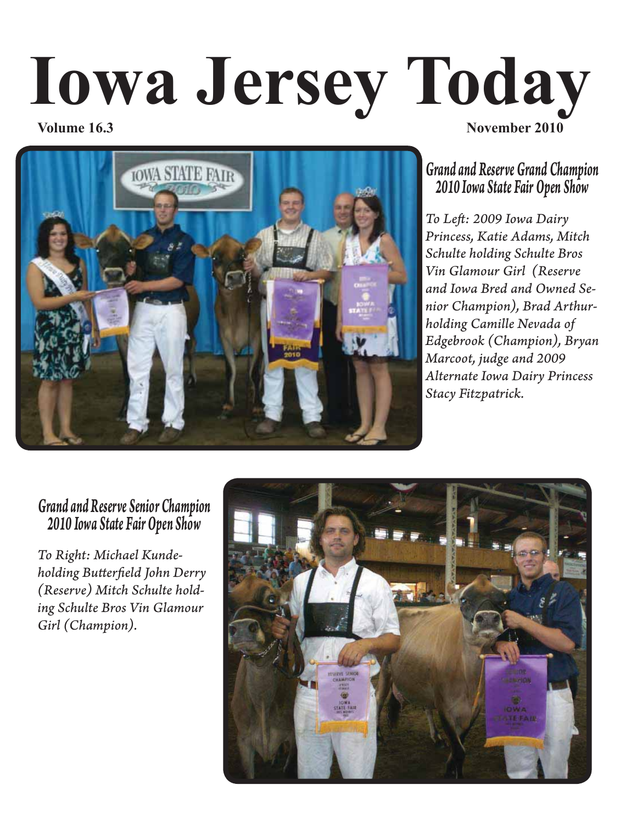# **Iowa Jersey Today Volume 16.3** November 2010



# *Grand and Reserve Grand Champion 2010 Iowa State Fair Open Show*

*To Left : 2009 Iowa Dairy Princess, Katie Adams, Mitch Schulte holding Schulte Bros Vin Glamour Girl (Reserve and Iowa Bred and Owned Senior Champion), Brad Arthurholding Camille Nevada of Edgebrook (Champion), Bryan Marcoot, judge and 2009 Alternate Iowa Dairy Princess Stacy Fitzpatrick.*

## *Grand and Reserve Senior Champion 2010 Iowa State Fair Open Show*

*To Right: Michael Kundeholding Butt erfi eld John Derry (Reserve) Mitch Schulte holding Schulte Bros Vin Glamour Girl (Champion).*

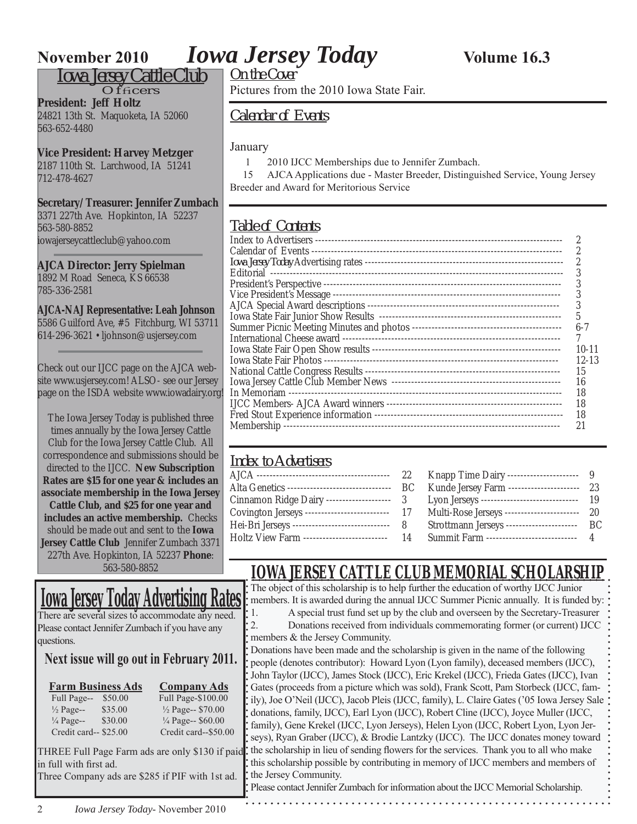*Iowa Jersey Cattle Club*

 $Of$ facers

**President: Jeff Holtz** 24821 13th St. Maquoketa, IA 52060 563-652-4480

**Vice President: Harvey Metzger** 2187 110th St. Larchwood, IA 51241 712-478-4627

**Secretary/Treasurer: Jennifer Zumbach**

3371 227th Ave. Hopkinton, IA 52237 563-580-8852 iowajerseycattleclub@yahoo.com

**AJCA Director: Jerry Spielman** 1892 M Road Seneca, KS 66538 785-336-2581

#### **AJCA-NAJ Representative: Leah Johnson**

5586 Guilford Ave, #5 Fitchburg, WI 53711 614-296-3621 • ljohnson@usjersey.com

Check out our IJCC page on the AJCA website www.usjersey.com! ALSO- see our Jersey page on the ISDA website www.iowadairy.org!

The Iowa Jersey Today is published three times annually by the Iowa Jersey Cattle Club for the Iowa Jersey Cattle Club. All correspondence and submissions should be directed to the IJCC. **New Subscription Rates are \$15 for one year & includes an associate membership in the Iowa Jersey Cattle Club, and \$25 for one year and includes an active membership.** Checks should be made out and sent to the **Iowa Jersey Cattle Club** Jennifer Zumbach 3371 227th Ave. Hopkinton, IA 52237 **Phone**: 563-580-8852

# **Iowa Jersey Today Advertising Rates**

There are several sizes to accommodate any need. Please contact Jennifer Zumbach if you have any questions.

### **Next issue will go out in February 2011.**

| <b>Farm Business Ads</b> |         | <b>Company Ads</b>   |  |  |  |
|--------------------------|---------|----------------------|--|--|--|
| Full Page--              | \$50.00 | Full Page-\$100.00   |  |  |  |
| $\frac{1}{2}$ Page--     | \$35.00 | 1/2 Page-- \$70.00   |  |  |  |
| $\frac{1}{4}$ Page--     | \$30.00 | 1/4 Page-- \$60.00   |  |  |  |
| Credit card-- \$25.00    |         | Credit card--\$50.00 |  |  |  |
|                          |         |                      |  |  |  |

Pictures from the 2010 Iowa State Fair.

*Calendar of Events*

#### January

1 2010 IJCC Memberships due to Jennifer Zumbach.

 15 AJCA Applications due - Master Breeder, Distinguished Service, Young Jersey Breeder and Award for Meritorious Service

### *Table of Contents*

| 6-7   |
|-------|
|       |
| 10-11 |
| 12-13 |
| 15    |
| 16    |
| 18    |
| 18    |
| 18    |
|       |
|       |

### *Index to Advertisers*

|                                             | 22  | Knapp Time Dairy ----------------------     |      |
|---------------------------------------------|-----|---------------------------------------------|------|
| Alta Genetics --------------------------    | BC. | Kunde Jersey Farm ------------------        | - 23 |
| Cinnamon Ridge Dairy --<br>---------------- | - 3 | Lyon Jerseys ------------------------------ | - 19 |
| Covington Jerseys --                        |     | 17 Multi-Rose Jerseys --------------------  | -20  |
| Hei-Bri Jerseys ---                         | - 8 | Strottmann Jerseys -<br>-----------------   | BC.  |
| Holtz View Farm -------------------------   |     | 14 Summit Farm ---------------------------  |      |
|                                             |     |                                             |      |

## **IOWA JERSEY CATTLE CLUB MEMORIAL SCHOLARSHIP**

The object of this scholarship is to help further the education of worthy IJCC Junior members. It is awarded during the annual IJCC Summer Picnic annually. It is funded by:

1. A special trust fund set up by the club and overseen by the Secretary-Treasurer 2. Donations received from individuals commemorating former (or current) IJCC members & the Jersey Community.

Donations have been made and the scholarship is given in the name of the following people (denotes contributor): Howard Lyon (Lyon family), deceased members (IJCC), John Taylor (IJCC), James Stock (IJCC), Eric Krekel (IJCC), Frieda Gates (IJCC), Ivan Gates (proceeds from a picture which was sold), Frank Scott, Pam Storbeck (IJCC, family), Joe O'Neil (IJCC), Jacob Pleis (IJCC, family), L. Claire Gates ('05 Iowa Jersey Sale donations, family, IJCC), Earl Lyon (IJCC), Robert Cline (IJCC), Joyce Muller (IJCC, family), Gene Krekel (IJCC, Lyon Jerseys), Helen Lyon (IJCC, Robert Lyon, Lyon Jerseys), Ryan Graber (IJCC), & Brodie Lantzky (IJCC). The IJCC donates money toward the scholarship in lieu of sending flowers for the services. Thank you to all who make this scholarship possible by contributing in memory of IJCC members and members of the Jersey Community.

THREE Full Page Farm ads are only \$130 if paid in full with first ad. Three Company ads are \$285 if PIF with 1st ad.

Please contact Jennifer Zumbach for information about the IJCC Memorial Scholarship.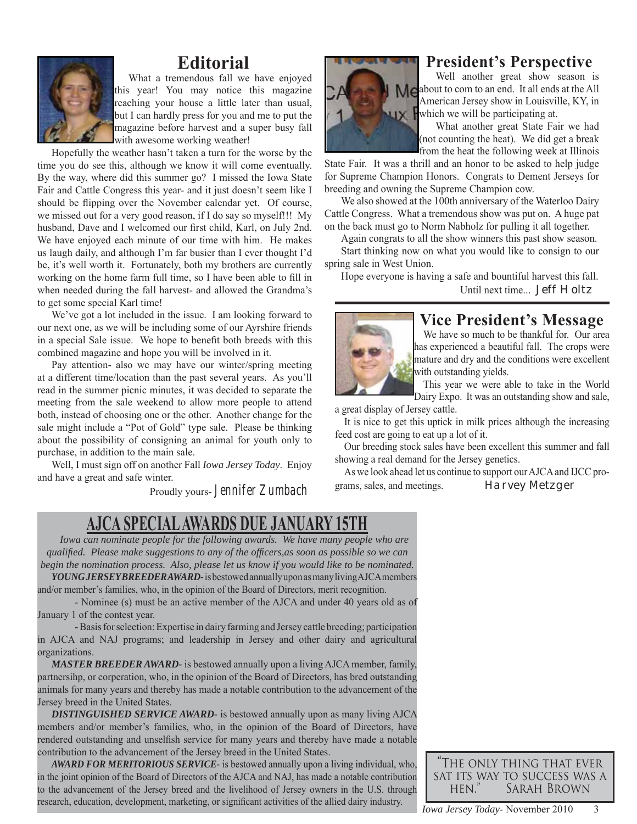

## **Editorial**

What a tremendous fall we have enjoyed this year! You may notice this magazine reaching your house a little later than usual, but I can hardly press for you and me to put the magazine before harvest and a super busy fall with awesome working weather!

Hopefully the weather hasn't taken a turn for the worse by the time you do see this, although we know it will come eventually. By the way, where did this summer go? I missed the Iowa State Fair and Cattle Congress this year- and it just doesn't seem like I should be flipping over the November calendar yet. Of course, we missed out for a very good reason, if I do say so myself!!! My husband, Dave and I welcomed our first child, Karl, on July 2nd. We have enjoyed each minute of our time with him. He makes us laugh daily, and although I'm far busier than I ever thought I'd be, it's well worth it. Fortunately, both my brothers are currently working on the home farm full time, so I have been able to fill in when needed during the fall harvest- and allowed the Grandma's to get some special Karl time!

We've got a lot included in the issue. I am looking forward to our next one, as we will be including some of our Ayrshire friends in a special Sale issue. We hope to benefit both breeds with this combined magazine and hope you will be involved in it.

Pay attention- also we may have our winter/spring meeting at a different time/location than the past several years. As you'll read in the summer picnic minutes, it was decided to separate the meeting from the sale weekend to allow more people to attend both, instead of choosing one or the other. Another change for the sale might include a "Pot of Gold" type sale. Please be thinking about the possibility of consigning an animal for youth only to purchase, in addition to the main sale.

Well, I must sign off on another Fall *Iowa Jersey Today*. Enjoy and have a great and safe winter.

Proudly yours- Jennifer Zumbach



## **President's Perspective**

Well another great show season is Meabout to com to an end. It all ends at the All American Jersey show in Louisville, KY, in which we will be participating at.

> What another great State Fair we had (not counting the heat). We did get a break from the heat the following week at Illinois

State Fair. It was a thrill and an honor to be asked to help judge for Supreme Champion Honors. Congrats to Dement Jerseys for breeding and owning the Supreme Champion cow.

We also showed at the 100th anniversary of the Waterloo Dairy Cattle Congress. What a tremendous show was put on. A huge pat on the back must go to Norm Nabholz for pulling it all together.

Again congrats to all the show winners this past show season. Start thinking now on what you would like to consign to our spring sale in West Union.

Hope everyone is having a safe and bountiful harvest this fall. Until next time... *Jeff Holtz*

## **Vice President's Message**



We have so much to be thankful for. Our area has experienced a beautiful fall. The crops were mature and dry and the conditions were excellent with outstanding yields.

This year we were able to take in the World Dairy Expo. It was an outstanding show and sale,

a great display of Jersey cattle.

It is nice to get this uptick in milk prices although the increasing feed cost are going to eat up a lot of it.

Our breeding stock sales have been excellent this summer and fall showing a real demand for the Jersey genetics.

As we look ahead let us continue to support our AJCA and IJCC programs, sales, and meetings. *Harvey Metzger*

## **AJCA SPECIAL AWARDS DUE JANUARY 15TH**

*Iowa can nominate people for the following awards. We have many people who are qualifi ed. Please make suggestions to any of the offi cers,as soon as possible so we can begin the nomination process. Also, please let us know if you would like to be nominated.*

*YOUNG JERSEY BREEDER AWARD-* is bestowed annually upon as many living AJCA members and/or member's families, who, in the opinion of the Board of Directors, merit recognition.

 - Nominee (s) must be an active member of the AJCA and under 40 years old as of January 1 of the contest year.

 - Basis for selection: Expertise in dairy farming and Jersey cattle breeding; participation in AJCA and NAJ programs; and leadership in Jersey and other dairy and agricultural organizations.

*MASTER BREEDER AWARD-* is bestowed annually upon a living AJCA member, family, partnersihp, or corperation, who, in the opinion of the Board of Directors, has bred outstanding animals for many years and thereby has made a notable contribution to the advancement of the Jersey breed in the United States.

*DISTINGUISHED SERVICE AWARD-* is bestowed annually upon as many living AJCA members and/or member's families, who, in the opinion of the Board of Directors, have rendered outstanding and unselfish service for many years and thereby have made a notable contribution to the advancement of the Jersey breed in the United States.

*AWARD FOR MERITORIOUS SERVICE-* is bestowed annually upon a living individual, who, in the joint opinion of the Board of Directors of the AJCA and NAJ, has made a notable contribution to the advancement of the Jersey breed and the livelihood of Jersey owners in the U.S. through research, education, development, marketing, or significant activities of the allied dairy industry.

the only thing that ever "<br>Sat its way to success was a HEN." SARAH BROWN hen." Sarah Brown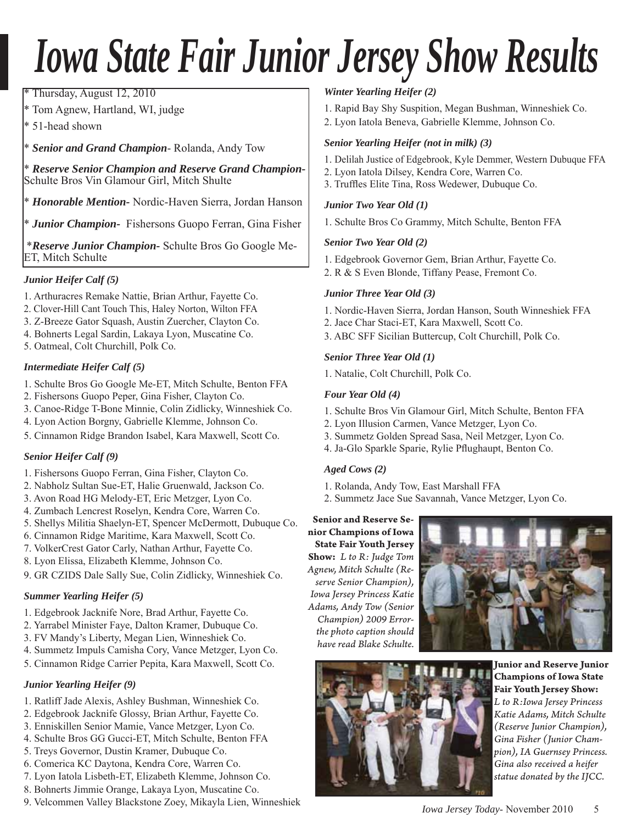# *Iowa State Fair Junior Jersey Show Results*

Thursday, August 12, 2010

Tom Agnew, Hartland, WI, judge

51-head shown

Senior and Grand Champion-Rolanda, Andy Tow

\* *Reserve Senior Champion and Reserve Grand Champion-*Schulte Bros Vin Glamour Girl, Mitch Shulte

\* *Honorable Mention-* Nordic-Haven Sierra, Jordan Hanson

\* *Junior Champion-* Fishersons Guopo Ferran, Gina Fisher

 \**Reserve Junior Champion-* Schulte Bros Go Google Me-ET, Mitch Schulte

#### *Junior Heifer Calf (5)*

- 1. Arthuracres Remake Nattie, Brian Arthur, Fayette Co.
- 2. Clover-Hill Cant Touch This, Haley Norton, Wilton FFA
- 3. Z-Breeze Gator Squash, Austin Zuercher, Clayton Co.
- 4. Bohnerts Legal Sardin, Lakaya Lyon, Muscatine Co.
- 5. Oatmeal, Colt Churchill, Polk Co.

#### *Intermediate Heifer Calf (5)*

- 1. Schulte Bros Go Google Me-ET, Mitch Schulte, Benton FFA
- 2. Fishersons Guopo Peper, Gina Fisher, Clayton Co.
- 3. Canoe-Ridge T-Bone Minnie, Colin Zidlicky, Winneshiek Co.
- 4. Lyon Action Borgny, Gabrielle Klemme, Johnson Co.
- 5. Cinnamon Ridge Brandon Isabel, Kara Maxwell, Scott Co.

#### *Senior Heifer Calf (9)*

- 1. Fishersons Guopo Ferran, Gina Fisher, Clayton Co.
- 2. Nabholz Sultan Sue-ET, Halie Gruenwald, Jackson Co.
- 3. Avon Road HG Melody-ET, Eric Metzger, Lyon Co.
- 4. Zumbach Lencrest Roselyn, Kendra Core, Warren Co.
- 5. Shellys Militia Shaelyn-ET, Spencer McDermott, Dubuque Co.
- 6. Cinnamon Ridge Maritime, Kara Maxwell, Scott Co.
- 7. VolkerCrest Gator Carly, Nathan Arthur, Fayette Co.
- 8. Lyon Elissa, Elizabeth Klemme, Johnson Co.
- 9. GR CZIDS Dale Sally Sue, Colin Zidlicky, Winneshiek Co.

#### *Summer Yearling Heifer (5)*

- 1. Edgebrook Jacknife Nore, Brad Arthur, Fayette Co.
- 2. Yarrabel Minister Faye, Dalton Kramer, Dubuque Co.
- 3. FV Mandy's Liberty, Megan Lien, Winneshiek Co.
- 4. Summetz Impuls Camisha Cory, Vance Metzger, Lyon Co.
- 5. Cinnamon Ridge Carrier Pepita, Kara Maxwell, Scott Co.

#### *Junior Yearling Heifer (9)*

- 1. Ratliff Jade Alexis, Ashley Bushman, Winneshiek Co.
- 2. Edgebrook Jacknife Glossy, Brian Arthur, Fayette Co.
- 3. Enniskillen Senior Mamie, Vance Metzger, Lyon Co.
- 4. Schulte Bros GG Gucci-ET, Mitch Schulte, Benton FFA
- 5. Treys Governor, Dustin Kramer, Dubuque Co.
- 6. Comerica KC Daytona, Kendra Core, Warren Co.
- 7. Lyon Iatola Lisbeth-ET, Elizabeth Klemme, Johnson Co.
- 8. Bohnerts Jimmie Orange, Lakaya Lyon, Muscatine Co.
- 9. Velcommen Valley Blackstone Zoey, Mikayla Lien, Winneshiek

#### *Winter Yearling Heifer (2)*

- 1. Rapid Bay Shy Suspition, Megan Bushman, Winneshiek Co.
- 2. Lyon Iatola Beneva, Gabrielle Klemme, Johnson Co.

#### *Senior Yearling Heifer (not in milk) (3)*

- 1. Delilah Justice of Edgebrook, Kyle Demmer, Western Dubuque FFA
- 2. Lyon Iatola Dilsey, Kendra Core, Warren Co.
- 3. Truffles Elite Tina, Ross Wedewer, Dubuque Co.

#### *Junior Two Year Old (1)*

1. Schulte Bros Co Grammy, Mitch Schulte, Benton FFA

#### *Senior Two Year Old (2)*

- 1. Edgebrook Governor Gem, Brian Arthur, Fayette Co.
- 2. R & S Even Blonde, Tiffany Pease, Fremont Co.

#### *Junior Three Year Old (3)*

- 1. Nordic-Haven Sierra, Jordan Hanson, South Winneshiek FFA
- 2. Jace Char Staci-ET, Kara Maxwell, Scott Co.
- 3. ABC SFF Sicilian Buttercup, Colt Churchill, Polk Co.

#### *Senior Three Year Old (1)*

1. Natalie, Colt Churchill, Polk Co.

#### *Four Year Old (4)*

- 1. Schulte Bros Vin Glamour Girl, Mitch Schulte, Benton FFA
- 2. Lyon Illusion Carmen, Vance Metzger, Lyon Co.
- 3. Summetz Golden Spread Sasa, Neil Metzger, Lyon Co.
- 4. Ja-Glo Sparkle Sparie, Rylie Pflughaupt, Benton Co.

#### *Aged Cows (2)*

- 1. Rolanda, Andy Tow, East Marshall FFA
- 2. Summetz Jace Sue Savannah, Vance Metzger, Lyon Co.

**Senior and Reserve Senior Champions of Iowa State Fair Youth Jersey Show:** *L to R: Judge Tom Agnew, Mitch Schulte (Reserve Senior Champion), Iowa Jersey Princess Katie Adams, Andy Tow (Senior Champion) 2009 Errorthe photo caption should have read Blake Schulte.* 





**Junior and Reserve Junior Champions of Iowa State Fair Youth Jersey Show:** *L to R:Iowa Jersey Princess Katie Adams, Mitch Schulte (Reserve Junior Champion), Gina Fisher (Junior Champion), IA Guernsey Princess. Gina also received a heifer statue donated by the IJCC.*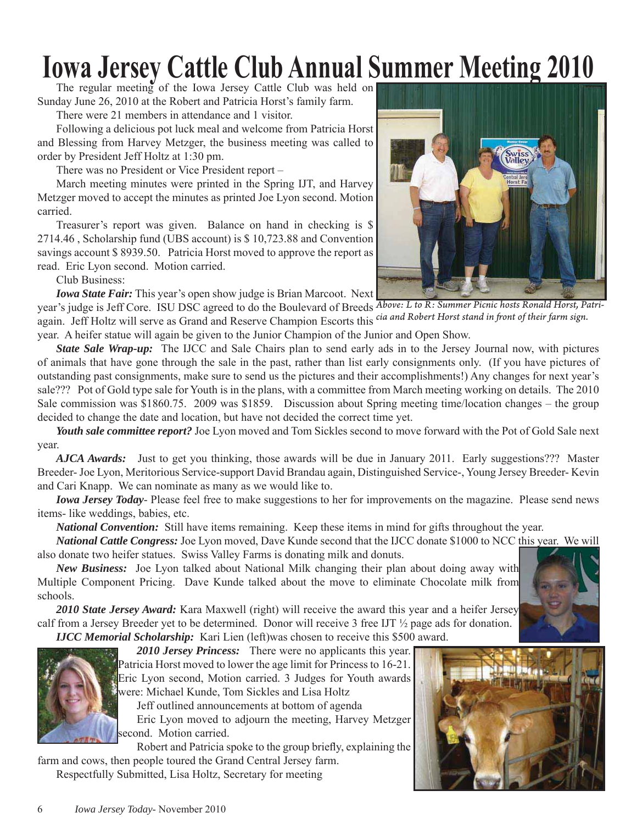# **Iowa Jersey Cattle Club Annual Summer Meeting 2010**

Sunday June 26, 2010 at the Robert and Patricia Horst's family farm.

There were 21 members in attendance and 1 visitor.

Following a delicious pot luck meal and welcome from Patricia Horst and Blessing from Harvey Metzger, the business meeting was called to order by President Jeff Holtz at 1:30 pm.

There was no President or Vice President report –

March meeting minutes were printed in the Spring IJT, and Harvey Metzger moved to accept the minutes as printed Joe Lyon second. Motion carried.

Treasurer's report was given. Balance on hand in checking is \$ 2714.46 , Scholarship fund (UBS account) is \$ 10,723.88 and Convention savings account \$ 8939.50. Patricia Horst moved to approve the report as read. Eric Lyon second. Motion carried.

Club Business:

*Iowa State Fair:* This year's open show judge is Brian Marcoot. Next

year's judge is Jeff Core. ISU DSC agreed to do the Boulevard of Breeds *Above: L to R: Summer Picnic hosts Ronald Horst, Patri*again. Jeff Holtz will serve as Grand and Reserve Champion Escorts this cia and Robert Horst stand in front of their farm sign.

year. A heifer statue will again be given to the Junior Champion of the Junior and Open Show.

*State Sale Wrap-up:* The IJCC and Sale Chairs plan to send early ads in to the Jersey Journal now, with pictures of animals that have gone through the sale in the past, rather than list early consignments only. (If you have pictures of outstanding past consignments, make sure to send us the pictures and their accomplishments!) Any changes for next year's sale??? Pot of Gold type sale for Youth is in the plans, with a committee from March meeting working on details. The 2010 Sale commission was \$1860.75. 2009 was \$1859. Discussion about Spring meeting time/location changes – the group decided to change the date and location, but have not decided the correct time yet.

*Youth sale committee report?* Joe Lyon moved and Tom Sickles second to move forward with the Pot of Gold Sale next year.

*AJCA Awards:* Just to get you thinking, those awards will be due in January 2011. Early suggestions??? Master Breeder- Joe Lyon, Meritorious Service-support David Brandau again, Distinguished Service-, Young Jersey Breeder- Kevin and Cari Knapp. We can nominate as many as we would like to.

*Iowa Jersey Today*- Please feel free to make suggestions to her for improvements on the magazine. Please send news items- like weddings, babies, etc.

*National Convention:* Still have items remaining. Keep these items in mind for gifts throughout the year.

*National Cattle Congress:* Joe Lyon moved, Dave Kunde second that the IJCC donate \$1000 to NCC this year. We will also donate two heifer statues. Swiss Valley Farms is donating milk and donuts.

*New Business:* Joe Lyon talked about National Milk changing their plan about doing away with Multiple Component Pricing. Dave Kunde talked about the move to eliminate Chocolate milk from schools.

*2010 State Jersey Award:* Kara Maxwell (right) will receive the award this year and a heifer Jersey calf from a Jersey Breeder yet to be determined. Donor will receive 3 free IJT ½ page ads for donation.

*IJCC Memorial Scholarship:* Kari Lien (left)was chosen to receive this \$500 award.



*2010 Jersey Princess:* There were no applicants this year. Patricia Horst moved to lower the age limit for Princess to 16-21. Eric Lyon second, Motion carried. 3 Judges for Youth awards were: Michael Kunde, Tom Sickles and Lisa Holtz

Jeff outlined announcements at bottom of agenda

Eric Lyon moved to adjourn the meeting, Harvey Metzger second. Motion carried.

Robert and Patricia spoke to the group briefly, explaining the farm and cows, then people toured the Grand Central Jersey farm.

Respectfully Submitted, Lisa Holtz, Secretary for meeting



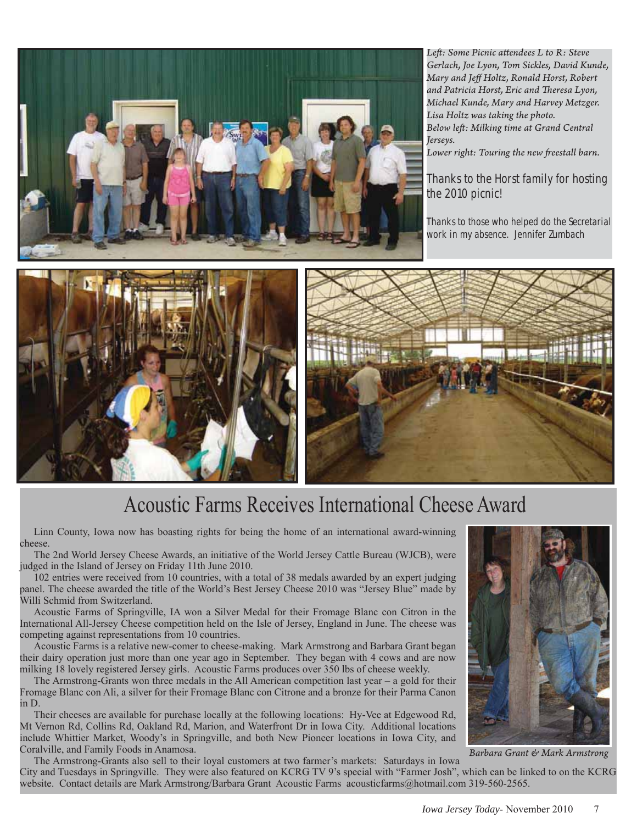

Left: Some Picnic attendees L to R: Steve *Gerlach, Joe Lyon, Tom Sickles, David Kunde, Mary and Jeff Holtz, Ronald Horst, Robert and Patricia Horst, Eric and Th eresa Lyon, Michael Kunde, Mary and Harvey Metzger. Lisa Holtz was taking the photo. Below left : Milking time at Grand Central Jerseys.*

Lower right: Touring the new freestall barn.

#### Thanks to the Horst family for hosting the 2010 picnic!

Thanks to those who helped do the Secretarial work in my absence. Jennifer Zumbach





# Acoustic Farms Receives International Cheese Award

Linn County, Iowa now has boasting rights for being the home of an international award-winning cheese.

The 2nd World Jersey Cheese Awards, an initiative of the World Jersey Cattle Bureau (WJCB), were judged in the Island of Jersey on Friday 11th June 2010.

102 entries were received from 10 countries, with a total of 38 medals awarded by an expert judging panel. The cheese awarded the title of the World's Best Jersey Cheese 2010 was "Jersey Blue" made by Willi Schmid from Switzerland.

Acoustic Farms of Springville, IA won a Silver Medal for their Fromage Blanc con Citron in the International All-Jersey Cheese competition held on the Isle of Jersey, England in June. The cheese was competing against representations from 10 countries.

Acoustic Farms is a relative new-comer to cheese-making. Mark Armstrong and Barbara Grant began their dairy operation just more than one year ago in September. They began with 4 cows and are now milking 18 lovely registered Jersey girls. Acoustic Farms produces over 350 lbs of cheese weekly.

The Armstrong-Grants won three medals in the All American competition last year – a gold for their Fromage Blanc con Ali, a silver for their Fromage Blanc con Citrone and a bronze for their Parma Canon in D.

Their cheeses are available for purchase locally at the following locations: Hy-Vee at Edgewood Rd, Mt Vernon Rd, Collins Rd, Oakland Rd, Marion, and Waterfront Dr in Iowa City. Additional locations include Whittier Market, Woody's in Springville, and both New Pioneer locations in Iowa City, and Coralville, and Family Foods in Anamosa.

The Armstrong-Grants also sell to their loyal customers at two farmer's markets: Saturdays in Iowa City and Tuesdays in Springville. They were also featured on KCRG TV 9's special with "Farmer Josh", which can be linked to on the KCRG



*Barbara Grant & Mark Armstrong*

website. Contact details are Mark Armstrong/Barbara Grant Acoustic Farms acousticfarms@hotmail.com 319-560-2565.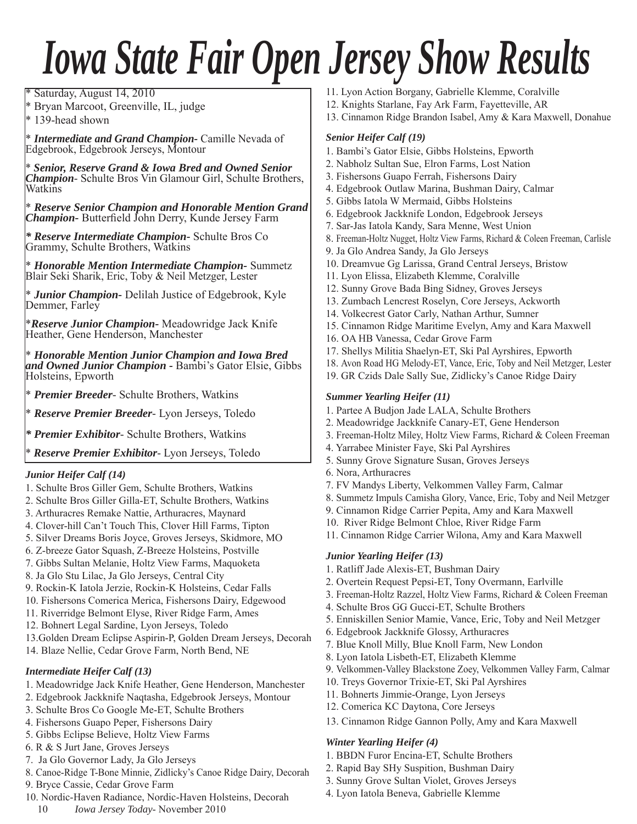# *Iowa State Fair Open Jersey Show Results*

Saturday, August 14, 2010

\* Bryan Marcoot, Greenville, IL, judge

\* 139-head shown

\* *Intermediate and Grand Champion-* Camille Nevada of Edgebrook, Edgebrook Jerseys, Montour

\* *Senior, Reserve Grand & Iowa Bred and Owned Senior Champion*- Schulte Bros Vin Glamour Girl, Schulte Brothers, Watkins

\* *Reserve Senior Champion and Honorable Mention Grand Champion* - Butterfield John Derry, Kunde Jersey Farm

*\* Reserve Intermediate Champion-* Schulte Bros Co Grammy, Schulte Brothers, Watkins

\* *Honorable Mention Intermediate Champion-* Summetz Blair Seki Sharik, Eric, Toby & Neil Metzger, Lester

\* *Junior Champion-* Delilah Justice of Edgebrook, Kyle Demmer, Farley

\**Reserve Junior Champion-* Meadowridge Jack Knife Heather, Gene Henderson, Manchester

\* *Honorable Mention Junior Champion and Iowa Bred and Owned Junior Champion -* Bambi's Gator Elsie, Gibbs Holsteins, Epworth

\* *Premier Breeder*- Schulte Brothers, Watkins

\* *Reserve Premier Breeder*- Lyon Jerseys, Toledo

*\* Premier Exhibitor*- Schulte Brothers, Watkins

\* *Reserve Premier Exhibitor*- Lyon Jerseys, Toledo

#### *Junior Heifer Calf (14)*

- 1. Schulte Bros Giller Gem, Schulte Brothers, Watkins
- 2. Schulte Bros Giller Gilla-ET, Schulte Brothers, Watkins
- 3. Arthuracres Remake Nattie, Arthuracres, Maynard
- 4. Clover-hill Can't Touch This, Clover Hill Farms, Tipton
- 5. Silver Dreams Boris Joyce, Groves Jerseys, Skidmore, MO
- 6. Z-breeze Gator Squash, Z-Breeze Holsteins, Postville
- 7. Gibbs Sultan Melanie, Holtz View Farms, Maquoketa
- 8. Ja Glo Stu Lilac, Ja Glo Jerseys, Central City
- 9. Rockin-K Iatola Jerzie, Rockin-K Holsteins, Cedar Falls
- 10. Fishersons Comerica Merica, Fishersons Dairy, Edgewood
- 11. Riverridge Belmont Elyse, River Ridge Farm, Ames
- 12. Bohnert Legal Sardine, Lyon Jerseys, Toledo
- 13.Golden Dream Eclipse Aspirin-P, Golden Dream Jerseys, Decorah
- 14. Blaze Nellie, Cedar Grove Farm, North Bend, NE

#### *Intermediate Heifer Calf (13)*

- 1. Meadowridge Jack Knife Heather, Gene Henderson, Manchester
- 2. Edgebrook Jackknife Naqtasha, Edgebrook Jerseys, Montour
- 3. Schulte Bros Co Google Me-ET, Schulte Brothers
- 4. Fishersons Guapo Peper, Fishersons Dairy
- 5. Gibbs Eclipse Believe, Holtz View Farms
- 6. R & S Jurt Jane, Groves Jerseys
- 7. Ja Glo Governor Lady, Ja Glo Jerseys
- 8. Canoe-Ridge T-Bone Minnie, Zidlicky's Canoe Ridge Dairy, Decorah
- 9. Bryce Cassie, Cedar Grove Farm
- 10. Nordic-Haven Radiance, Nordic-Haven Holsteins, Decorah
	- 10 *Iowa Jersey Today* November 2010
- 11. Lyon Action Borgany, Gabrielle Klemme, Coralville
- 12. Knights Starlane, Fay Ark Farm, Fayetteville, AR
- 13. Cinnamon Ridge Brandon Isabel, Amy & Kara Maxwell, Donahue

#### *Senior Heifer Calf (19)*

- 1. Bambi's Gator Elsie, Gibbs Holsteins, Epworth
- 2. Nabholz Sultan Sue, Elron Farms, Lost Nation
- 3. Fishersons Guapo Ferrah, Fishersons Dairy
- 4. Edgebrook Outlaw Marina, Bushman Dairy, Calmar
- 5. Gibbs Iatola W Mermaid, Gibbs Holsteins
- 6. Edgebrook Jackknife London, Edgebrook Jerseys
- 7. Sar-Jas Iatola Kandy, Sara Menne, West Union
- 8. Freeman-Holtz Nugget, Holtz View Farms, Richard & Coleen Freeman, Carlisle
- 9. Ja Glo Andrea Sandy, Ja Glo Jerseys
- 10. Dreamvue Gg Larissa, Grand Central Jerseys, Bristow
- 11. Lyon Elissa, Elizabeth Klemme, Coralville
- 12. Sunny Grove Bada Bing Sidney, Groves Jerseys
- 13. Zumbach Lencrest Roselyn, Core Jerseys, Ackworth
- 14. Volkecrest Gator Carly, Nathan Arthur, Sumner
- 15. Cinnamon Ridge Maritime Evelyn, Amy and Kara Maxwell
- 16. OA HB Vanessa, Cedar Grove Farm
- 17. Shellys Militia Shaelyn-ET, Ski Pal Ayrshires, Epworth
- 18. Avon Road HG Melody-ET, Vance, Eric, Toby and Neil Metzger, Lester
- 19. GR Czids Dale Sally Sue, Zidlicky's Canoe Ridge Dairy

#### *Summer Yearling Heifer (11)*

- 1. Partee A Budjon Jade LALA, Schulte Brothers
- 2. Meadowridge Jackknife Canary-ET, Gene Henderson
- 3. Freeman-Holtz Miley, Holtz View Farms, Richard & Coleen Freeman
- 4. Yarrabee Minister Faye, Ski Pal Ayrshires
- 5. Sunny Grove Signature Susan, Groves Jerseys
- 6. Nora, Arthuracres
- 7. FV Mandys Liberty, Velkommen Valley Farm, Calmar
- 8. Summetz Impuls Camisha Glory, Vance, Eric, Toby and Neil Metzger
- 9. Cinnamon Ridge Carrier Pepita, Amy and Kara Maxwell
- 10. River Ridge Belmont Chloe, River Ridge Farm
- 11. Cinnamon Ridge Carrier Wilona, Amy and Kara Maxwell

#### *Junior Yearling Heifer (13)*

- 1. Ratliff Jade Alexis-ET, Bushman Dairy
- 2. Overtein Request Pepsi-ET, Tony Overmann, Earlville
- 3. Freeman-Holtz Razzel, Holtz View Farms, Richard & Coleen Freeman
- 4. Schulte Bros GG Gucci-ET, Schulte Brothers
- 5. Enniskillen Senior Mamie, Vance, Eric, Toby and Neil Metzger
- 6. Edgebrook Jackknife Glossy, Arthuracres
- 7. Blue Knoll Milly, Blue Knoll Farm, New London
- 8. Lyon Iatola Lisbeth-ET, Elizabeth Klemme
- 9. Velkommen-Valley Blackstone Zoey, Velkommen Valley Farm, Calmar
- 10. Treys Governor Trixie-ET, Ski Pal Ayrshires
- 11. Bohnerts Jimmie-Orange, Lyon Jerseys
- 12. Comerica KC Daytona, Core Jerseys
- 13. Cinnamon Ridge Gannon Polly, Amy and Kara Maxwell

#### *Winter Yearling Heifer (4)*

- 1. BBDN Furor Encina-ET, Schulte Brothers
- 2. Rapid Bay SHy Suspition, Bushman Dairy
- 3. Sunny Grove Sultan Violet, Groves Jerseys
- 4. Lyon Iatola Beneva, Gabrielle Klemme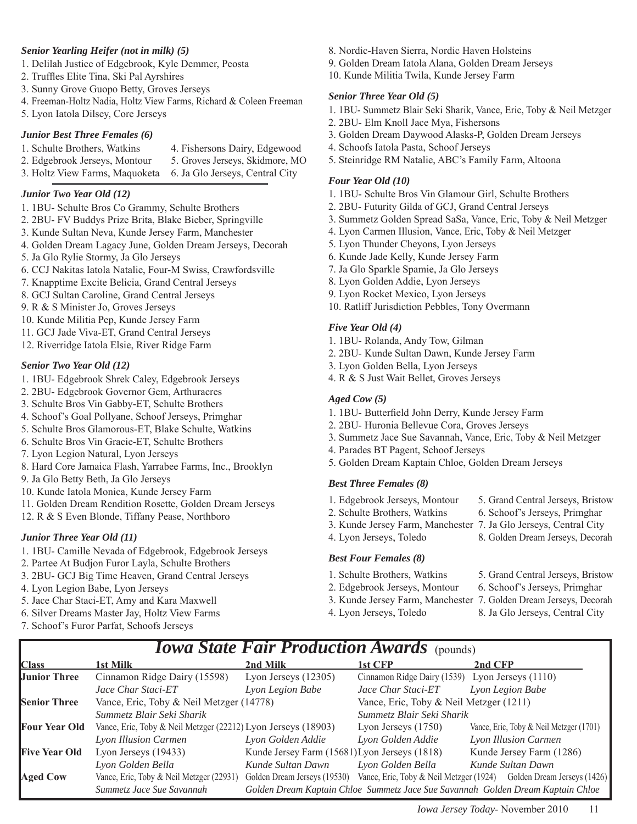#### *Senior Yearling Heifer (not in milk) (5)*

- 1. Delilah Justice of Edgebrook, Kyle Demmer, Peosta
- 2. Truffles Elite Tina, Ski Pal Ayrshires
- 3. Sunny Grove Guopo Betty, Groves Jerseys
- 4. Freeman-Holtz Nadia, Holtz View Farms, Richard & Coleen Freeman
- 5. Lyon Iatola Dilsey, Core Jerseys

#### *Junior Best Three Females (6)*

- 1. Schulte Brothers, Watkins 4. Fishersons Dairy, Edgewood
- 2. Edgebrook Jerseys, Montour 5. Groves Jerseys, Skidmore, MO
- 3. Holtz View Farms, Maquoketa 6. Ja Glo Jerseys, Central City

#### *Junior Two Year Old (12)*

- 1. 1BU- Schulte Bros Co Grammy, Schulte Brothers
- 2. 2BU- FV Buddys Prize Brita, Blake Bieber, Springville
- 3. Kunde Sultan Neva, Kunde Jersey Farm, Manchester
- 4. Golden Dream Lagacy June, Golden Dream Jerseys, Decorah
- 5. Ja Glo Rylie Stormy, Ja Glo Jerseys
- 6. CCJ Nakitas Iatola Natalie, Four-M Swiss, Crawfordsville
- 7. Knapptime Excite Belicia, Grand Central Jerseys
- 8. GCJ Sultan Caroline, Grand Central Jerseys
- 9. R & S Minister Jo, Groves Jerseys
- 10. Kunde Militia Pep, Kunde Jersey Farm
- 11. GCJ Jade Viva-ET, Grand Central Jerseys
- 12. Riverridge Iatola Elsie, River Ridge Farm

#### *Senior Two Year Old (12)*

- 1. 1BU- Edgebrook Shrek Caley, Edgebrook Jerseys
- 2. 2BU- Edgebrook Governor Gem, Arthuracres
- 3. Schulte Bros Vin Gabby-ET, Schulte Brothers
- 4. Schoof's Goal Pollyane, Schoof Jerseys, Primghar
- 5. Schulte Bros Glamorous-ET, Blake Schulte, Watkins
- 6. Schulte Bros Vin Gracie-ET, Schulte Brothers
- 7. Lyon Legion Natural, Lyon Jerseys
- 8. Hard Core Jamaica Flash, Yarrabee Farms, Inc., Brooklyn
- 9. Ja Glo Betty Beth, Ja Glo Jerseys
- 10. Kunde Iatola Monica, Kunde Jersey Farm
- 11. Golden Dream Rendition Rosette, Golden Dream Jerseys
- 12. R & S Even Blonde, Tiffany Pease, Northboro

#### *Junior Three Year Old (11)*

- 1. 1BU- Camille Nevada of Edgebrook, Edgebrook Jerseys
- 2. Partee At Budjon Furor Layla, Schulte Brothers
- 3. 2BU- GCJ Big Time Heaven, Grand Central Jerseys
- 4. Lyon Legion Babe, Lyon Jerseys
- 5. Jace Char Staci-ET, Amy and Kara Maxwell
- 6. Silver Dreams Master Jay, Holtz View Farms
- 7. Schoof's Furor Parfat, Schoofs Jerseys
- 8. Nordic-Haven Sierra, Nordic Haven Holsteins
- 9. Golden Dream Iatola Alana, Golden Dream Jerseys
- 10. Kunde Militia Twila, Kunde Jersey Farm

#### *Senior Three Year Old (5)*

- 1. 1BU- Summetz Blair Seki Sharik, Vance, Eric, Toby & Neil Metzger
- 2. 2BU- Elm Knoll Jace Mya, Fishersons
- 3. Golden Dream Daywood Alasks-P, Golden Dream Jerseys
- 4. Schoofs Iatola Pasta, Schoof Jerseys
- 5. Steinridge RM Natalie, ABC's Family Farm, Altoona

#### *Four Year Old (10)*

- 1. 1BU- Schulte Bros Vin Glamour Girl, Schulte Brothers
- 2. 2BU- Futurity Gilda of GCJ, Grand Central Jerseys
- 3. Summetz Golden Spread SaSa, Vance, Eric, Toby & Neil Metzger
- 4. Lyon Carmen Illusion, Vance, Eric, Toby & Neil Metzger
- 5. Lyon Thunder Cheyons, Lyon Jerseys
- 6. Kunde Jade Kelly, Kunde Jersey Farm
- 7. Ja Glo Sparkle Spamie, Ja Glo Jerseys
- 8. Lyon Golden Addie, Lyon Jerseys
- 9. Lyon Rocket Mexico, Lyon Jerseys
- 10. Ratliff Jurisdiction Pebbles, Tony Overmann

#### *Five Year Old (4)*

- 1. 1BU- Rolanda, Andy Tow, Gilman
- 2. 2BU- Kunde Sultan Dawn, Kunde Jersey Farm
- 3. Lyon Golden Bella, Lyon Jerseys
- 4. R & S Just Wait Bellet, Groves Jerseys

#### *Aged Cow (5)*

- 1. 1BU- Butterfield John Derry, Kunde Jersey Farm
- 2. 2BU- Huronia Bellevue Cora, Groves Jerseys
- 3. Summetz Jace Sue Savannah, Vance, Eric, Toby & Neil Metzger
- 4. Parades BT Pagent, Schoof Jerseys
- 5. Golden Dream Kaptain Chloe, Golden Dream Jerseys

#### *Best Three Females (8)*

- 1. Edgebrook Jerseys, Montour 5. Grand Central Jerseys, Bristow
	-
- 2. Schulte Brothers, Watkins 6. Schoof's Jerseys, Primghar
- 3. Kunde Jersey Farm, Manchester 7. Ja Glo Jerseys, Central City
- 4. Lyon Jerseys, Toledo 8. Golden Dream Jerseys, Decorah

#### *Best Four Females (8)*

- 
- 2. Edgebrook Jerseys, Montour 6. Schoof's Jerseys, Primghar
- -
- 
- -

#### *Iowa State Fair Production Awards* (pounds) **Class** 1st Milk 2nd Milk 2nd Milk 1st CFP 2nd CFP **Junior Three** Cinnamon Ridge Dairy (15598) Lyon Jerseys (12305) Cinnamon Ridge Dairy (1539) Lyon Jerseys (1110)  *Jace Char Staci-ET Lyon Legion Babe Jace Char Staci-ET Lyon Legion Babe* **Senior Three** Vance, Eric, Toby & Neil Metzger (14778) Vance, Eric, Toby & Neil Metzger (1211) *Summetz Blair Seki Sharik Summetz Blair Seki Sharik*  **Four Year Old** Vance, Eric, Toby & Neil Metzger (22212) Lyon Jerseys (18903) Lyon Jerseys (1750) Vance, Eric, Toby & Neil Metzger (1701) *Lyon Illusion Carmen Lyon Golden Addie Lyon Golden Addie Lyon Illusion Carmen* **Five Year Old** Lyon Jerseys (19433) Kunde Jersey Farm (15681) Lyon Jerseys (1818) Kunde Jersey Farm (1286) *Lyon Golden Bella Kunde Sultan Dawn Lyon Golden Bella Kunde Sultan Dawn* **Aged Cow** Vance, Eric, Toby & Neil Metzger (22931) Golden Dream Jerseys (19530) Vance, Eric, Toby & Neil Metzger (1924) Golden Dream Jerseys (1426)

*Summetz Jace Sue Savannah Golden Dream Kaptain Chloe Summetz Jace Sue Savannah Golden Dream Kaptain Chloe*

- 
- 3. Kunde Jersey Farm, Manchester 7. Golden Dream Jerseys, Decorah
	-
	-
- 
- 4. Lyon Jerseys, Toledo 8. Ja Glo Jerseys, Central City
- 1. Schulte Brothers, Watkins 5. Grand Central Jerseys, Bristow
-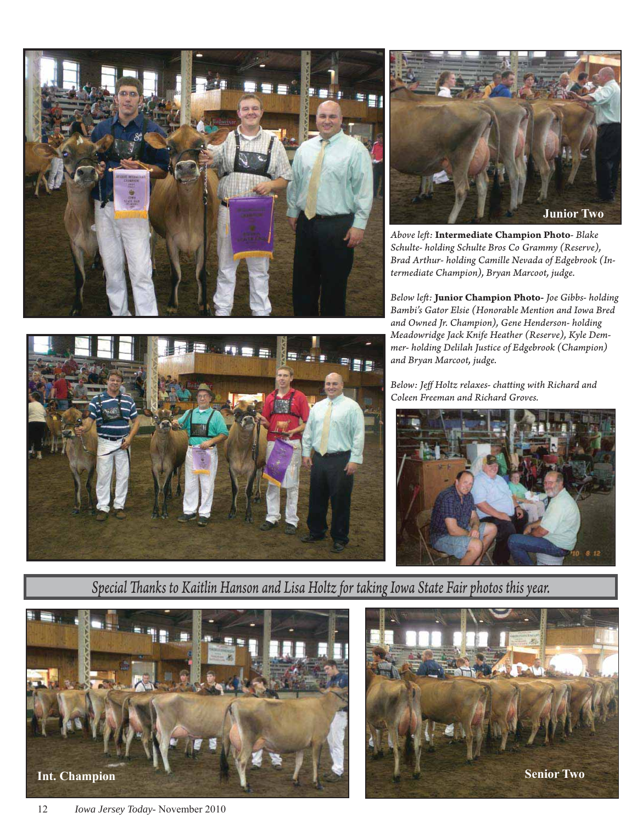



*Above left :* **Intermediate Champion Photo***- Blake Schulte- holding Schulte Bros Co Grammy (Reserve), Brad Arthur- holding Camille Nevada of Edgebrook (Intermediate Champion), Bryan Marcoot, judge.*

*Below left :* **Junior Champion Photo-** *Joe Gibbs- holding Bambi's Gator Elsie (Honorable Mention and Iowa Bred and Owned Jr. Champion), Gene Henderson- holding Meadowridge Jack Knife Heather (Reserve), Kyle Demmer- holding Delilah Justice of Edgebrook (Champion) and Bryan Marcoot, judge.*



Below: Jeff Holtz relaxes- chatting with Richard and *Coleen Freeman and Richard Groves.*



*Special Th anks to Kaitlin Hanson and Lisa Holtz for taking Iowa State Fair photos this year.*



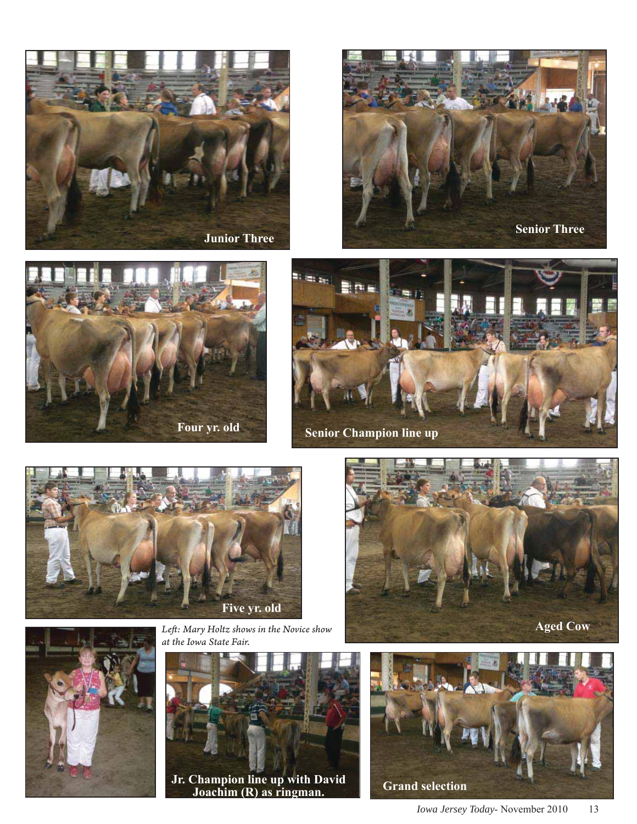













*Left : Mary Holtz shows in the Novice show at the Iowa State Fair.*



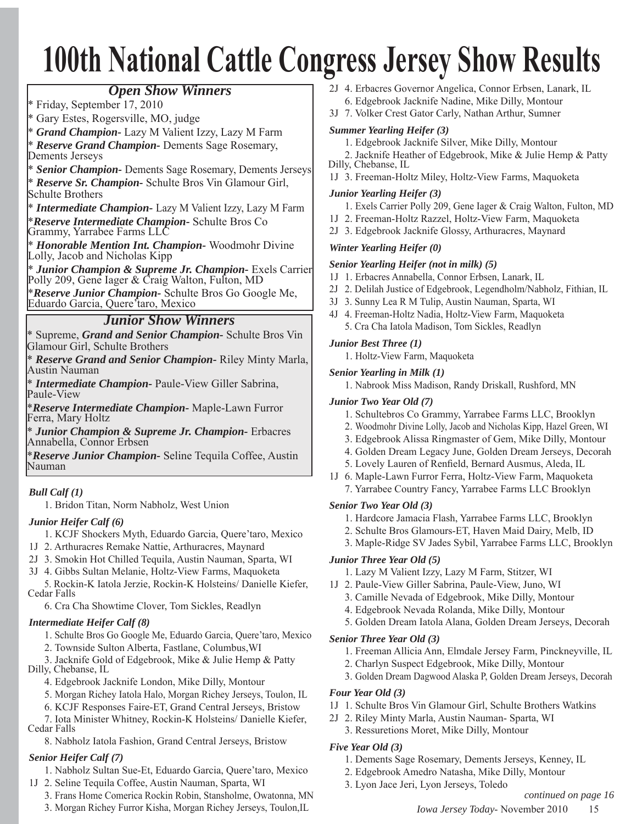# **100th National Cattle Congress Jersey Show Results**

### *Open Show Winners*

\* Friday, September 17, 2010

\* Gary Estes, Rogersville, MO, judge

\* *Grand Champion-* Lazy M Valient Izzy, Lazy M Farm

\* *Reserve Grand Champion-* Dements Sage Rosemary, Dements Jerseys

\* *Senior Champion-* Dements Sage Rosemary, Dements Jerseys \* *Reserve Sr. Champion-* Schulte Bros Vin Glamour Girl, Schulte Brothers

\* *Intermediate Champion-* Lazy M Valient Izzy, Lazy M Farm \**Reserve Intermediate Champion-* Schulte Bros Co

Grammy, Yarrabee Farms LLC

\* *Honorable Mention Int. Champion-* Woodmohr Divine Lolly, Jacob and Nicholas Kipp

\* *Junior Champion & Supreme Jr. Champion-* Exels Carrier Polly 209, Gene Iager & Craig Walton, Fulton, MD

\**Reserve Junior Champion-* Schulte Bros Go Google Me, Eduardo Garcia, Quere'taro, Mexico

### *Junior Show Winners*

\* Supreme, *Grand and Senior Champion-* Schulte Bros Vin Glamour Girl, Schulte Brothers

\* *Reserve Grand and Senior Champion-* Riley Minty Marla, Austin Nauman

\* *Intermediate Champion-* Paule-View Giller Sabrina, Paule-View

\**Reserve Intermediate Champion-* Maple-Lawn Furror Ferra, Mary Holtz

\* *Junior Champion & Supreme Jr. Champion-* Erbacres Annabella, Connor Erbsen

\**Reserve Junior Champion-* Seline Tequila Coffee, Austin Nauman

#### *Bull Calf (1)*

1. Bridon Titan, Norm Nabholz, West Union

#### *Junior Heifer Calf (6)*

- 1. KCJF Shockers Myth, Eduardo Garcia, Quere'taro, Mexico
- 1J 2. Arthuracres Remake Nattie, Arthuracres, Maynard
- 2J 3. Smokin Hot Chilled Tequila, Austin Nauman, Sparta, WI
- 3J 4. Gibbs Sultan Melanie, Holtz-View Farms, Maquoketa

 5. Rockin-K Iatola Jerzie, Rockin-K Holsteins/ Danielle Kiefer, Cedar Falls

6. Cra Cha Showtime Clover, Tom Sickles, Readlyn

#### *Intermediate Heifer Calf (8)*

- 1. Schulte Bros Go Google Me, Eduardo Garcia, Quere'taro, Mexico
- 2. Townside Sulton Alberta, Fastlane, Columbus,WI

 3. Jacknife Gold of Edgebrook, Mike & Julie Hemp & Patty Dilly, Chebanse, IL

- 4. Edgebrook Jacknife London, Mike Dilly, Montour
- 5. Morgan Richey Iatola Halo, Morgan Richey Jerseys, Toulon, IL
- 6. KCJF Responses Faire-ET, Grand Central Jerseys, Bristow
- 7. Iota Minister Whitney, Rockin-K Holsteins/ Danielle Kiefer, Cedar Falls
	- 8. Nabholz Iatola Fashion, Grand Central Jerseys, Bristow

#### *Senior Heifer Calf (7)*

- 1. Nabholz Sultan Sue-Et, Eduardo Garcia, Quere'taro, Mexico
- 1J 2. Seline Tequila Coffee, Austin Nauman, Sparta, WI
	- 3. Frans Home Comerica Rockin Robin, Stansholme, Owatonna, MN
	- 3. Morgan Richey Furror Kisha, Morgan Richey Jerseys, Toulon,IL
- 2J 4. Erbacres Governor Angelica, Connor Erbsen, Lanark, IL 6. Edgebrook Jacknife Nadine, Mike Dilly, Montour
- 3J 7. Volker Crest Gator Carly, Nathan Arthur, Sumner

#### *Summer Yearling Heifer (3)*

- 1. Edgebrook Jacknife Silver, Mike Dilly, Montour
- 2. Jacknife Heather of Edgebrook, Mike & Julie Hemp & Patty
- Dilly, Chebanse, IL

1J 3. Freeman-Holtz Miley, Holtz-View Farms, Maquoketa

#### *Junior Yearling Heifer (3)*

- 1. Exels Carrier Polly 209, Gene Iager & Craig Walton, Fulton, MD
- 1J 2. Freeman-Holtz Razzel, Holtz-View Farm, Maquoketa
- 2J 3. Edgebrook Jacknife Glossy, Arthuracres, Maynard

#### *Winter Yearling Heifer (0)*

#### *Senior Yearling Heifer (not in milk) (5)*

- 1J 1. Erbacres Annabella, Connor Erbsen, Lanark, IL
- 2J 2. Delilah Justice of Edgebrook, Legendholm/Nabholz, Fithian, IL
- 3J 3. Sunny Lea R M Tulip, Austin Nauman, Sparta, WI
- 4J 4. Freeman-Holtz Nadia, Holtz-View Farm, Maquoketa 5. Cra Cha Iatola Madison, Tom Sickles, Readlyn

*Junior Best Three (1)*

1. Holtz-View Farm, Maquoketa

#### *Senior Yearling in Milk (1)*

1. Nabrook Miss Madison, Randy Driskall, Rushford, MN

#### *Junior Two Year Old (7)*

- 1. Schultebros Co Grammy, Yarrabee Farms LLC, Brooklyn
- 2. Woodmohr Divine Lolly, Jacob and Nicholas Kipp, Hazel Green, WI
- 3. Edgebrook Alissa Ringmaster of Gem, Mike Dilly, Montour
- 4. Golden Dream Legacy June, Golden Dream Jerseys, Decorah
- 5. Lovely Lauren of Renfield, Bernard Ausmus, Aleda, IL
- 1J 6. Maple-Lawn Furror Ferra, Holtz-View Farm, Maquoketa 7. Yarrabee Country Fancy, Yarrabee Farms LLC Brooklyn

#### *Senior Two Year Old (3)*

- 1. Hardcore Jamacia Flash, Yarrabee Farms LLC, Brooklyn
- 2. Schulte Bros Glamours-ET, Haven Maid Dairy, Melb, ID
- 3. Maple-Ridge SV Jades Sybil, Yarrabee Farms LLC, Brooklyn

#### *Junior Three Year Old (5)*

- 1. Lazy M Valient Izzy, Lazy M Farm, Stitzer, WI
- 1J 2. Paule-View Giller Sabrina, Paule-View, Juno, WI
	- 3. Camille Nevada of Edgebrook, Mike Dilly, Montour
	- 4. Edgebrook Nevada Rolanda, Mike Dilly, Montour
	- 5. Golden Dream Iatola Alana, Golden Dream Jerseys, Decorah

#### *Senior Three Year Old (3)*

- 1. Freeman Allicia Ann, Elmdale Jersey Farm, Pinckneyville, IL
- 2. Charlyn Suspect Edgebrook, Mike Dilly, Montour
- 3. Golden Dream Dagwood Alaska P, Golden Dream Jerseys, Decorah

#### *Four Year Old (3)*

- 1J 1. Schulte Bros Vin Glamour Girl, Schulte Brothers Watkins
- 2J 2. Riley Minty Marla, Austin Nauman- Sparta, WI
	- 3. Ressuretions Moret, Mike Dilly, Montour

#### *Five Year Old (3)*

- 1. Dements Sage Rosemary, Dements Jerseys, Kenney, IL
- 2. Edgebrook Amedro Natasha, Mike Dilly, Montour
- 3. Lyon Jace Jeri, Lyon Jerseys, Toledo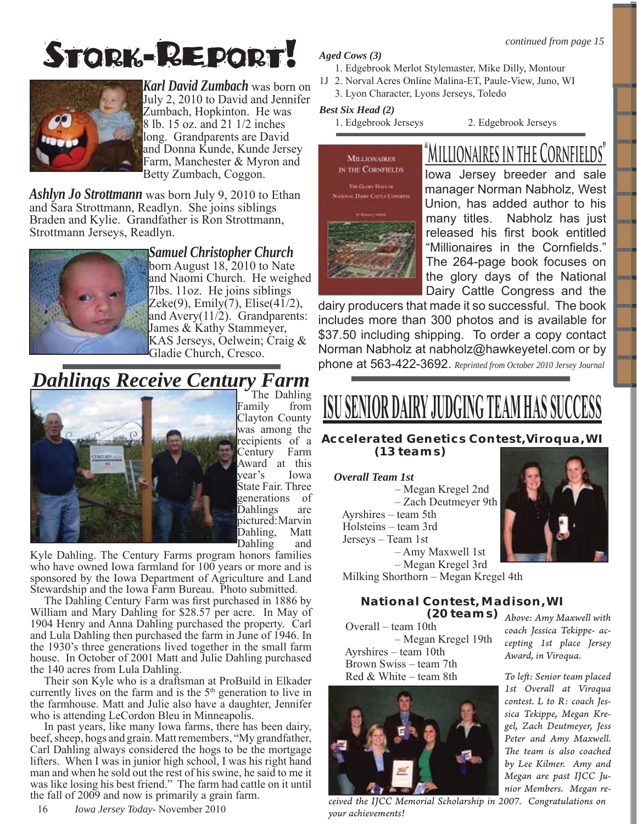# STORK-REPORT!



*Karl David Zumbach* was born on July 2, 2010 to David and Jennifer Zumbach, Hopkinton. He was 8 lb. 15 oz. and 21 1/2 inches long. Grandparents are David and Donna Kunde, Kunde Jersey Farm, Manchester & Myron and Betty Zumbach, Coggon.

*Ashlyn Jo Strottmann* was born July 9, 2010 to Ethan and Sara Strottmann, Readlyn. She joins siblings Braden and Kylie. Grandfather is Ron Strottmann, Strottmann Jerseys, Readlyn.



*Samuel Christopher Church* born August 18, 2010 to Nate and Naomi Church. He weighed 7lbs. 11oz. He joins siblings Zeke(9), Emily(7), Elise(41/2), and Avery(11/2). Grandparents: James & Kathy Stammeyer, KAS Jerseys, Oelwein; Craig & Gladie Church, Cresco.

# *Dahlings Receive Century Farm* The Dahling



Family from Clayton County was among the recipients of a Century Farm Award at this year's Iowa State Fair. Three generations of Dahlings are pictured: Marvin Dahling, Matt Dahling and

Kyle Dahling. The Century Farms program honors families who have owned Iowa farmland for 100 years or more and is sponsored by the Iowa Department of Agriculture and Land Stewardship and the Iowa Farm Bureau. Photo submitted.

The Dahling Century Farm was first purchased in 1886 by William and Mary Dahling for \$28.57 per acre. In May of 1904 Henry and Anna Dahling purchased the property. Carl and Lula Dahling then purchased the farm in June of 1946. In the 1930's three generations lived together in the small farm house. In October of 2001 Matt and Julie Dahling purchased the 140 acres from Lula Dahling.

Their son Kyle who is a draftsman at ProBuild in Elkader currently lives on the farm and is the  $5<sup>th</sup>$  generation to live in the farmhouse. Matt and Julie also have a daughter, Jennifer who is attending LeCordon Bleu in Minneapolis.

In past years, like many Iowa farms, there has been dairy, beef, sheep, hogs and grain. Matt remembers, "My grandfather, Carl Dahling always considered the hogs to be the mortgage lifters. When I was in junior high school, I was his right hand man and when he sold out the rest of his swine, he said to me it was like losing his best friend." The farm had cattle on it until the fall of 2009 and now is primarily a grain farm.

16 *Iowa Jersey Today*- November 2010

#### *Aged Cows (3)*

- 1. Edgebrook Merlot Stylemaster, Mike Dilly, Montour
- 1J 2. Norval Acres Online Malina-ET, Paule-View, Juno, WI

3. Lyon Character, Lyons Jerseys, Toledo

#### *Best Six Head (2)*

1. Edgebrook Jerseys 2. Edgebrook Jerseys



# **"Millionaires in the Cornfields"**

Iowa Jersey breeder and sale manager Norman Nabholz, West Union, has added author to his many titles. Nabholz has just released his first book entitled "Millionaires in the Cornfields." The 264-page book focuses on the glory days of the National Dairy Cattle Congress and the

dairy producers that made it so successful. The book includes more than 300 photos and is available for \$37.50 including shipping. To order a copy contact Norman Nabholz at nabholz@hawkeyetel.com or by phone at 563-422-3692. *Reprinted from October 2010 Jersey Journal*

# <u>ISU SENIOR DAIRY</u> JUDGING TEAM HAS SU

#### **Accelerated Genetics Contest,Viroqua, WI (13 teams)**

#### *Overall Team 1st*

 – Megan Kregel 2nd – Zach Deutmeyer 9th Ayrshires – team 5th Holsteins – team 3rd Jerseys – Team 1st – Amy Maxwell 1st



### **National Contest, Madison, WI (20 teams)** *Above: Amy Maxwell with*

 Overall – team 10th – Megan Kregel 19th Ayrshires – team 10th Brown Swiss – team 7th Red & White – team 8th



*ceived the IJCC Memorial Scholarship in 2007. Congratulations on your achievements!*

*coach Jessica Tekippe- accepting 1st place Jersey Award, in Viroqua.* 

*To left : Senior team placed 1st Overall at Viroqua contest. L to R: coach Jessica Tekippe, Megan Kregel, Zach Deutmeyer, Jess Peter and Amy Maxwell.*  The team is also coached *by Lee Kilmer. Amy and Megan are past IJCC Junior Members. Megan re-*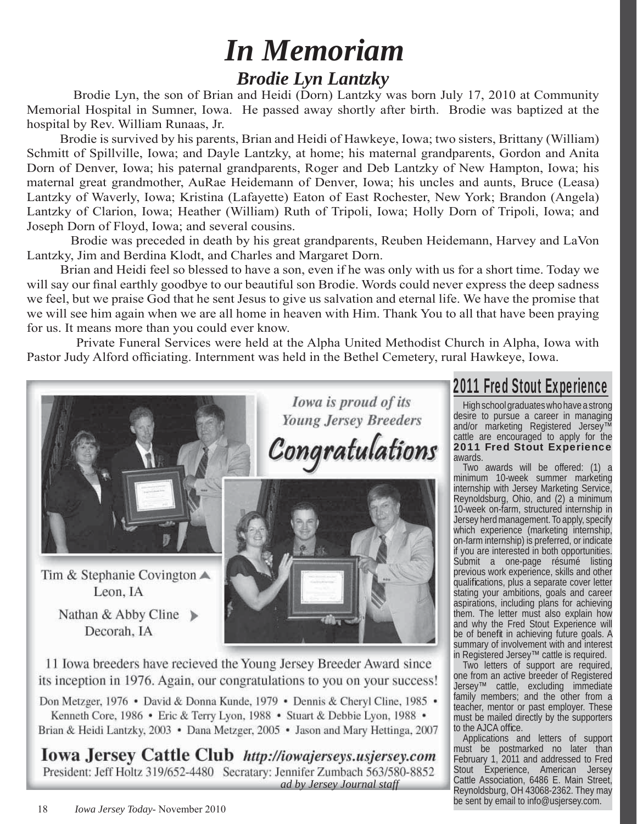# *Brodie Lyn Lantzky In Memoriam*

Brodie Lyn, the son of Brian and Heidi (Dorn) Lantzky was born July 17, 2010 at Community Memorial Hospital in Sumner, Iowa. He passed away shortly after birth. Brodie was baptized at the hospital by Rev. William Runaas, Jr.

 Brodie is survived by his parents, Brian and Heidi of Hawkeye, Iowa; two sisters, Brittany (William) Schmitt of Spillville, Iowa; and Dayle Lantzky, at home; his maternal grandparents, Gordon and Anita Dorn of Denver, Iowa; his paternal grandparents, Roger and Deb Lantzky of New Hampton, Iowa; his maternal great grandmother, AuRae Heidemann of Denver, Iowa; his uncles and aunts, Bruce (Leasa) Lantzky of Waverly, Iowa; Kristina (Lafayette) Eaton of East Rochester, New York; Brandon (Angela) Lantzky of Clarion, Iowa; Heather (William) Ruth of Tripoli, Iowa; Holly Dorn of Tripoli, Iowa; and Joseph Dorn of Floyd, Iowa; and several cousins.

 Brodie was preceded in death by his great grandparents, Reuben Heidemann, Harvey and LaVon Lantzky, Jim and Berdina Klodt, and Charles and Margaret Dorn.

 Brian and Heidi feel so blessed to have a son, even if he was only with us for a short time. Today we will say our final earthly goodbye to our beautiful son Brodie. Words could never express the deep sadness we feel, but we praise God that he sent Jesus to give us salvation and eternal life. We have the promise that we will see him again when we are all home in heaven with Him. Thank You to all that have been praying for us. It means more than you could ever know.

 Private Funeral Services were held at the Alpha United Methodist Church in Alpha, Iowa with Pastor Judy Alford officiating. Internment was held in the Bethel Cemetery, rural Hawkeye, Iowa.



Tim & Stephanie Covington  $\triangle$ Leon. IA

> Nathan & Abby Cline  $\triangleright$ Decorah, IA

Iowa is proud of its **Young Jersey Breeders** Congratulations



11 Iowa breeders have recieved the Young Jersey Breeder Award since its inception in 1976. Again, our congratulations to you on your success!

Don Metzger, 1976 • David & Donna Kunde, 1979 • Dennis & Cheryl Cline, 1985 • Kenneth Core, 1986 • Eric & Terry Lyon, 1988 • Stuart & Debbie Lyon, 1988 • Brian & Heidi Lantzky, 2003 • Dana Metzger, 2005 • Jason and Mary Hettinga, 2007

**Iowa Jersey Cattle Club** http://iowajerseys.usjersey.com President: Jeff Holtz 319/652-4480 Secratary: Jennifer Zumbach 563/580-8852 *ad by Jersey Journal staff*

# 2011 Fred Stout Experience

High school graduates who have a strong desire to pursue a career in managing and/or marketing Registered Jersey™ cattle are encouraged to apply for the 2011 Fred Stout Experience awards.

Two awards will be offered: (1) a minimum 10-week summer marketing internship with Jersey Marketing Service, Reynoldsburg, Ohio, and (2) a minimum 10-week on-farm, structured internship in Jersey herd management. To apply, specify which experience (marketing internship, on-farm internship) is preferred, or indicate if you are interested in both opportunities. Submit a one-page résumé listing previous work experience, skills and other qualifications, plus a separate cover letter stating your ambitions, goals and career aspirations, including plans for achieving them. The letter must also explain how and why the Fred Stout Experience will be of benefit in achieving future goals. A summary of involvement with and interest in Registered Jersey™ cattle is required.

Two letters of support are required, one from an active breeder of Registered Jersey™ cattle, excluding immediate family members; and the other from a teacher, mentor or past employer. These must be mailed directly by the supporters to the AJCA office.

Applications and letters of support must be postmarked no later than February 1, 2011 and addressed to Fred Stout Experience, American Jersey Cattle Association, 6486 E. Main Street, Reynoldsburg, OH 43068-2362. They may be sent by email to info@usjersey.com.